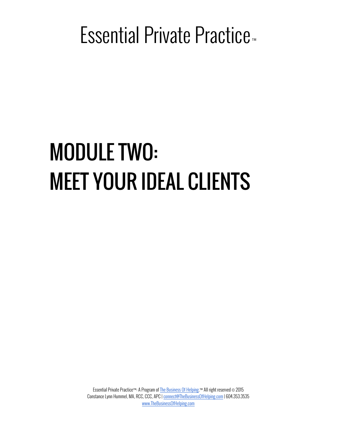# MODULE TWO: MEET YOUR IDEAL CLIENTS

Essential Private Practice™: A Program of The Business Of Helping.™ All right reserved © 2015 Constance Lynn Hummel, MA, RCC, CCC, APC | connect@TheBusinessOfHelping.com | 604.353.3535 www.TheBusinessOfHelping.com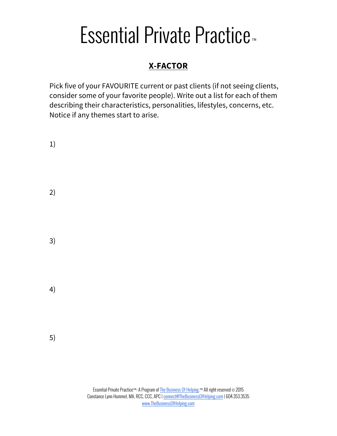#### **X-FACTOR**

Pick five of your FAVOURITE current or past clients (if not seeing clients, consider some of your favorite people). Write out a list for each of them describing their characteristics, personalities, lifestyles, concerns, etc. Notice if any themes start to arise.

| 1) |  |  |  |
|----|--|--|--|
| 2) |  |  |  |
| 3) |  |  |  |
| 4) |  |  |  |
| 5) |  |  |  |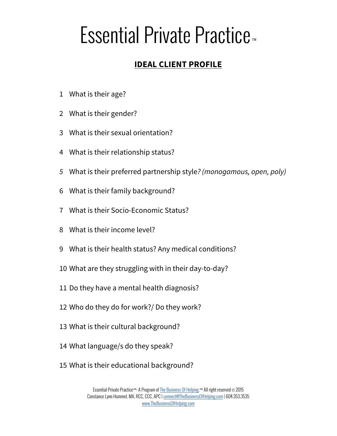#### **IDEAL CLIENT PROFILE**

- What is their age?
- What is their gender?
- What is their sexual orientation?
- What is their relationship status?
- What is their preferred partnership style*? (monogamous, open, poly)*
- What is their family background?
- What is their Socio-Economic Status?
- What is their income level?
- What is their health status? Any medical conditions?
- What are they struggling with in their day-to-day?
- Do they have a mental health diagnosis?
- Who do they do for work?/ Do they work?
- What is their cultural background?
- What language/s do they speak?
- What is their educational background?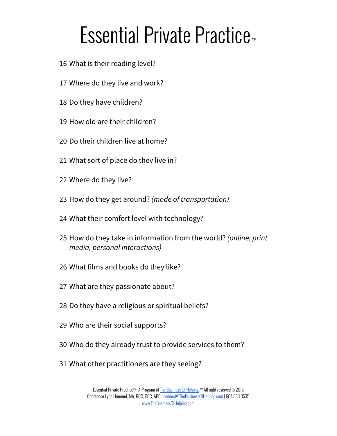- What is their reading level?
- Where do they live and work?
- Do they have children?
- How old are their children?
- Do their children live at home?
- What sort of place do they live in?
- Where do they live?
- How do they get around? *(mode of transportation)*
- What their comfort level with technology?
- How do they take in information from the world? *(online, print media, personal interactions)*
- What films and books do they like?
- What are they passionate about?
- Do they have a religious or spiritual beliefs?
- Who are their social supports?
- Who do they already trust to provide services to them?
- What other practitioners are they seeing?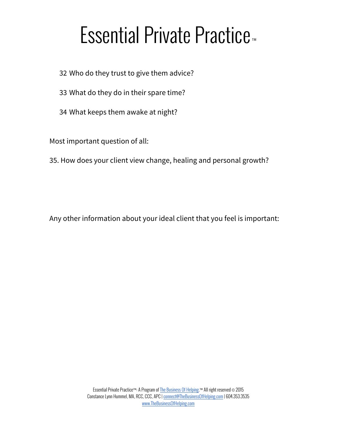- 32 Who do they trust to give them advice?
- 33 What do they do in their spare time?
- 34 What keeps them awake at night?

Most important question of all:

35. How does your client view change, healing and personal growth?

Any other information about your ideal client that you feel is important: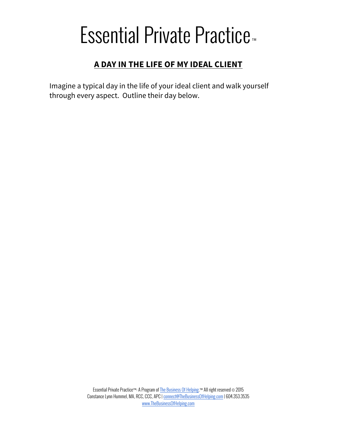#### **A DAY IN THE LIFE OF MY IDEAL CLIENT**

Imagine a typical day in the life of your ideal client and walk yourself through every aspect. Outline their day below.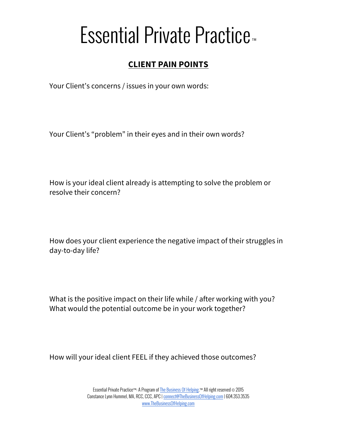#### **CLIENT PAIN POINTS**

Your Client's concerns / issues in your own words:

Your Client's "problem" in their eyes and in their own words?

How is your ideal client already is attempting to solve the problem or resolve their concern?

How does your client experience the negative impact of their struggles in day-to-day life?

What is the positive impact on their life while / after working with you? What would the potential outcome be in your work together?

How will your ideal client FEEL if they achieved those outcomes?